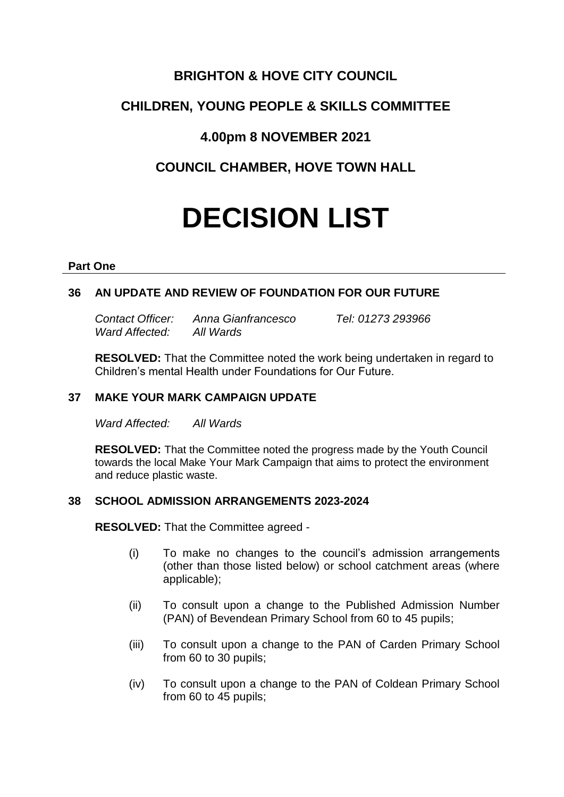# **BRIGHTON & HOVE CITY COUNCIL**

# **CHILDREN, YOUNG PEOPLE & SKILLS COMMITTEE**

# **4.00pm 8 NOVEMBER 2021**

**COUNCIL CHAMBER, HOVE TOWN HALL**

# **DECISION LIST**

#### **Part One**

## **36 AN UPDATE AND REVIEW OF FOUNDATION FOR OUR FUTURE**

*Contact Officer: Anna Gianfrancesco Tel: 01273 293966 Ward Affected: All Wards*

**RESOLVED:** That the Committee noted the work being undertaken in regard to Children's mental Health under Foundations for Our Future.

## **37 MAKE YOUR MARK CAMPAIGN UPDATE**

*Ward Affected: All Wards*

**RESOLVED:** That the Committee noted the progress made by the Youth Council towards the local Make Your Mark Campaign that aims to protect the environment and reduce plastic waste.

### **38 SCHOOL ADMISSION ARRANGEMENTS 2023-2024**

**RESOLVED:** That the Committee agreed -

- (i) To make no changes to the council's admission arrangements (other than those listed below) or school catchment areas (where applicable);
- (ii) To consult upon a change to the Published Admission Number (PAN) of Bevendean Primary School from 60 to 45 pupils;
- (iii) To consult upon a change to the PAN of Carden Primary School from 60 to 30 pupils;
- (iv) To consult upon a change to the PAN of Coldean Primary School from 60 to 45 pupils;